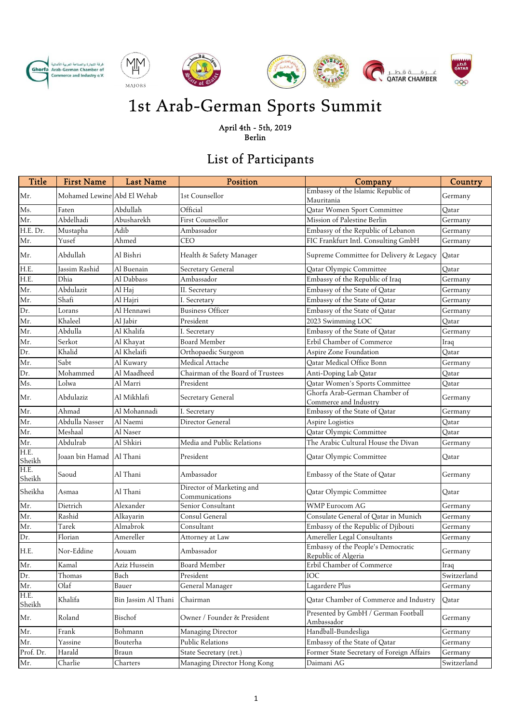











## 1st Arab-German Sports Summit

April 4th - 5th, 2019 Berlin

## List of Participants

| Title          | <b>First Name</b>           | <b>Last Name</b>    | Position                                    | Company                                                   | Country     |
|----------------|-----------------------------|---------------------|---------------------------------------------|-----------------------------------------------------------|-------------|
| Mr.            | Mohamed Lewine Abd El Wehab |                     | 1st Counsellor                              | Embassy of the Islamic Republic of<br>Mauritania          | Germany     |
| Ms.            | Faten                       | Abdullah            | Official                                    | Qatar Women Sport Committee                               | Oatar       |
| Mr.            | Abdelhadi                   | Abusharekh          | First Counsellor                            | Mission of Palestine Berlin                               | Germany     |
| H.E. Dr.       | Mustapha                    | Adib                | Ambassador                                  | Embassy of the Republic of Lebanon                        | Germany     |
| Mr.            | Yusef                       | Ahmed               | <b>CEO</b>                                  | FIC Frankfurt Intl. Consulting GmbH                       | Germany     |
| Mr.            | Abdullah                    | Al Bishri           | Health & Safety Manager                     | Supreme Committee for Delivery & Legacy                   | Qatar       |
| H.E.           | Iassim Rashid               | Al Buenain          | Secretary General                           | Qatar Olympic Committee                                   | Qatar       |
| H.E.           | Dhia                        | Al Dabbass          | Ambassador                                  | Embassy of the Republic of Iraq                           | Germany     |
| Mr.            | Abdulazit                   | Al Haj              | II. Secretary                               | Embassy of the State of Qatar                             | Germany     |
| Mr.            | Shafi                       | Al Hajri            | I. Secretary                                | Embassy of the State of Qatar                             | Germany     |
| Dr.            | Lorans                      | Al Hennawi          | <b>Business Officer</b>                     | Embassy of the State of Qatar                             | Germany     |
| Mr.            | Khaleel                     | Al Jabir            | President                                   | 2023 Swimming LOC                                         | Oatar       |
| Mr.            | Abdulla                     | Al Khalifa          | I. Secretary                                | Embassy of the State of Qatar                             | Germany     |
| Mr.            | Serkot                      | Al Khayat           | <b>Board Member</b>                         | Erbil Chamber of Commerce                                 | Iraq        |
| Dr.            | Khalid                      | Al Khelaifi         | Orthopaedic Surgeon                         | Aspire Zone Foundation                                    | Oatar       |
| Mr.            | Sabt                        | Al Kuwary           | Medical Attache                             | Qatar Medical Office Bonn                                 | Germany     |
| Dr.            | Mohammed                    | Al Maadheed         | Chairman of the Board of Trustees           | Anti-Doping Lab Qatar                                     | Qatar       |
| Ms.            | Lolwa                       | Al Marri            | President                                   | Qatar Women's Sports Committee                            | Oatar       |
| Mr.            | Abdulaziz                   | Al Mikhlafi         | Secretary General                           | Ghorfa Arab-German Chamber of<br>Commerce and Industry    | Germany     |
| Mr.            | Ahmad                       | Al Mohannadi        | I. Secretary                                | Embassy of the State of Qatar                             | Germany     |
| Mr.            | Abdulla Nasser              | Al Naemi            | Director General                            | Aspire Logistics                                          | Qatar       |
| Mr.            | Meshaal                     | Al Naser            |                                             | Qatar Olympic Committee                                   | Qatar       |
| Mr.<br>H.E.    | Abdulrab                    | Al Shkiri           | Media and Public Relations                  | The Arabic Cultural House the Divan                       | Germany     |
| Sheikh         | Joaan bin Hamad             | Al Thani            | President                                   | Qatar Olympic Committee                                   | Oatar       |
| H.E.<br>Sheikh | Saoud                       | Al Thani            | Ambassador                                  | Embassy of the State of Qatar                             | Germany     |
| Sheikha        | Asmaa                       | Al Thani            | Director of Marketing and<br>Communications | Qatar Olympic Committee                                   | Qatar       |
| Mr.            | Dietrich                    | Alexander           | Senior Consultant                           | <b>WMP Eurocom AG</b>                                     | Germany     |
| Mr.            | Rashid                      | Alkayarin           | Consul General                              | Consulate General of Qatar in Munich                      | Germany     |
| Mr.            | Tarek                       | Almabrok            | $\overline{\text{Constant}}$                | Embassy of the Republic of Djibouti                       | Germany     |
| Dr.            | Florian                     | Amereller           | Attorney at Law                             | Amereller Legal Consultants                               | Germany     |
| H.E.           | Nor-Eddine                  | Aouam               | Ambassador                                  | Embassy of the People's Democratic<br>Republic of Algeria | Germany     |
| Mr.            | Kamal                       | Aziz Hussein        | <b>Board Member</b>                         | Erbil Chamber of Commerce                                 | Iraq        |
| Dr.            | Thomas                      | Bach                | President                                   | IOC                                                       | Switzerland |
| Mr.            | Olaf                        | Bauer               | General Manager                             | Lagardere Plus                                            | Germany     |
| H.E.<br>Sheikh | Khalifa                     | Bin Jassim Al Thani | Chairman                                    | Qatar Chamber of Commerce and Industry                    | Qatar       |
| Mr.            | Roland                      | Bischof             | Owner / Founder & President                 | Presented by GmbH / German Football<br>Ambassador         | Germany     |
| Mr.            | Frank                       | Bohmann             | Managing Director                           | Handball-Bundesliga                                       | Germany     |
| Mr.            | Yassine                     | Bouterha            | Public Relations                            | Embassy of the State of Qatar                             | Germany     |
| Prof. Dr.      | Harald                      | Braun               | State Secretary (ret.)                      | Former State Secretary of Foreign Affairs                 | Germany     |
| Mr.            | Charlie                     | Charters            | Managing Director Hong Kong                 | Daimani AG                                                | Switzerland |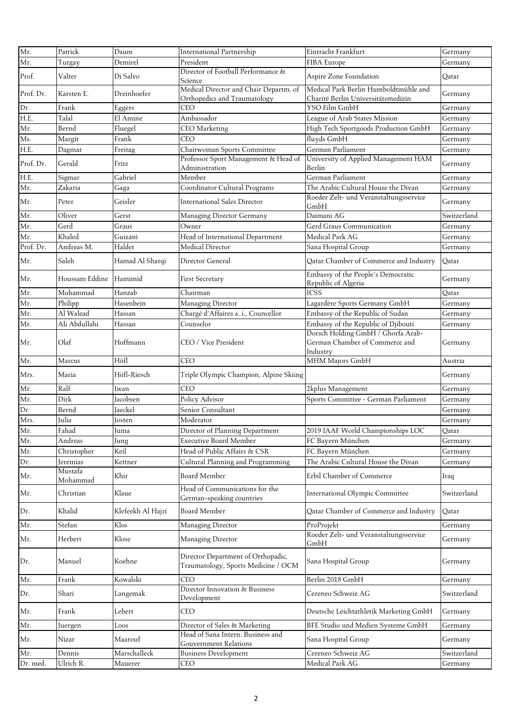| Mr.<br>President<br>Demirel<br>FIBA Europe<br>Germany<br>Turgay<br>Director of Football Performance &<br>Prof.<br>Valter<br>Di Salvo<br>Aspire Zone Foundation<br>Oatar<br>Science<br>Medical Director and Chair Departm. of<br>Medical Park Berlin Humboldtmühle and<br>Prof. Dr.<br>Dreinhoefer<br>Karsten E.<br>Germany<br>Orthopedics and Traumatology<br>Charité Berlin Universitätsmedizin<br>Dr.<br>Frank<br>Eggers<br>YSO Film GmbH<br>CEO<br>Germany<br>H.E.<br>Talal<br>El Amine<br>Ambassador<br>League of Arab States Mission<br>Germany<br>Mr.<br>Fluegel<br>High Tech Sportgoods Production GmbH<br>Bernd<br><b>CEO</b> Marketing<br>Germany<br>Ms.<br>Frank<br>fluyds GmbH<br>Margit<br>CEO<br>Germany<br>H.E.<br>Freitag<br>Chairwoman Sports Committee<br>German Parliament<br>Germany<br>Dagmar<br>Professor Sport Management & Head of<br>University of Applied Management HAM<br>Prof. Dr.<br>Gerald<br>Fritz<br>Germany<br>Administration<br>Berlin<br>H.E.<br>Gabriel<br>German Parliament<br>Sigmar<br>Member<br>Germany<br>Mr.<br>Zakaria<br>Coordinator Cultural Programs<br>The Arabic Cultural House the Divan<br>Gaga<br>Germany<br>Roeder Zelt- und Veranstaltungsservice<br>Geisler<br><b>International Sales Director</b><br>Mr.<br>Peter<br>Germany<br>GmbH<br>Daimani AG<br>Mr.<br>Oliver<br>Switzerland<br>Gerst<br>Managing Director Germany<br>Mr.<br>Gerd<br>Graus<br>Gerd Graus Communication<br>Owner<br>Germany<br>Mr.<br>Khaled<br>Medical Park AG<br>Guizani<br>Head of International Department<br>Germany<br>Prof. Dr.<br>Halder<br>Medical Director<br>Andreas M.<br>Sana Hospital Group<br>Germany<br>Saleh<br>Hamad Al Sharqi<br>Qatar Chamber of Commerce and Industry<br>Director General<br>Qatar<br>Mr.<br>Embassy of the People's Democratic<br>Mr.<br>Houssam Eddine<br>Hamimid<br>First Secretary<br>Germany<br>Republic of Algeria<br><b>ICSS</b><br>Mr.<br>Mohammad<br>Chairman<br>Hanzab<br>Qatar<br>Mr.<br>Philipp<br>Managing Director<br>Lagardère Sports Germany GmbH<br>Hasenbein<br>Germany<br>Embassy of the Republic of Sudan<br>Mr.<br>Al Walead<br>Chargé d'Affaires a. i., Councellor<br>Hassan<br>Germany<br>Embassy of the Republic of Djibouti<br>Mr.<br>Ali Abdullahi<br>Hassan<br>Counselor<br>Germany<br>Dorsch Holding GmbH / Ghorfa Arab-<br>Olaf<br>Hoffmann<br>German Chamber of Commerce and<br>CEO / Vice President<br>Mr.<br>Germany<br>Industry<br>MHM Majors GmbH<br>Mr.<br>Höfl<br>CEO<br>Marcus<br>Austria<br>Höfl-Riesch<br>Mrs.<br>Triple Olympic Champion, Alpine Skiing<br>Maria<br>Germany<br>Ralf<br><b>CEO</b><br>Mr.<br>2kplus Management<br>Germany<br>Iwan<br>Dirk<br>Policy Advisor<br>Mr.<br>Sports Committee - German Parliament<br>Jacobsen<br>Germany<br>Dr.<br>Bernd<br>Senior Consultant<br>Jaeckel<br>Germany<br>Mrs.<br>Julia<br>Moderator<br>Germany<br>Josten<br>Mr.<br>Fahad<br>2019 IAAF World Championships LOC<br>Director of Planning Department<br>Qatar<br>uma<br>Mr.<br>Andreas<br><b>Executive Board Member</b><br>FC Bayern München<br>Germany<br>Jung<br>Mr.<br>Keil<br>Head of Public Affairs & CSR<br>FC Bayern München<br>Christopher<br>Germany<br>The Arabic Cultural House the Divan<br>Dr.<br>Kettner<br>Cultural Planning and Programming<br>Jeremias<br>Germany<br>Mustafa<br>Khir<br><b>Board Member</b><br>Erbil Chamber of Commerce<br>Mr.<br>Iraq<br>Mohammad<br>Head of Communications for the<br>Klaue<br>Christian<br><b>International Olympic Committee</b><br>Switzerland<br>Mr.<br>German-speaking countries<br>Khalid<br><b>Board Member</b><br>Klefeekh Al Hajri<br>Qatar Chamber of Commerce and Industry<br>Qatar<br>Dr.<br>Klos<br>Mr.<br>Stefan<br>Managing Director<br>ProProjekt<br>Germany<br>Roeder Zelt- und Veranstaltungsservice<br>Klose<br>Herbert<br>Managing Director<br>Mr.<br>Germany<br>GmbH<br>Director Department of Orthopadic,<br>Koehne<br>Sana Hospital Group<br>Dr.<br>Manuel<br>Germany<br>Traumatology, Sports Medicine / OCM<br>CEO<br>Frank<br>Kowalski<br>Berlin 2018 GmbH<br>Mr.<br>Germany<br>Director Innovation & Business<br>Shari<br>Cereneo Schweiz AG<br>Switzerland<br>Dr.<br>Langemak<br>Development<br>Frank<br>Lebert<br><b>CEO</b><br>Deutsche Leichtathletik Marketing GmbH<br>Mr.<br>Germany<br>BFE Studio und Medien Systeme GmbH<br>Mr.<br>Director of Sales & Marketing<br>Loos<br>Germany<br>Juergen<br>Head of Sana Intern. Business and<br>Mr.<br>Nizar<br>Maarouf<br>Sana Hospital Group<br>Germany<br>Gouvernment Relations<br>Marschalleck<br>Cereneo Schweiz AG<br><b>Business Development</b><br>Switzerland<br>Mr.<br>Dennis<br>Ulrich R.<br>Medical Park AG<br>Dr. med.<br>Mauerer<br><b>CEO</b><br>Germany | Mr. | Patrick | Daum | <b>International Partnership</b> | Eintracht Frankfurt | Germany |
|-----------------------------------------------------------------------------------------------------------------------------------------------------------------------------------------------------------------------------------------------------------------------------------------------------------------------------------------------------------------------------------------------------------------------------------------------------------------------------------------------------------------------------------------------------------------------------------------------------------------------------------------------------------------------------------------------------------------------------------------------------------------------------------------------------------------------------------------------------------------------------------------------------------------------------------------------------------------------------------------------------------------------------------------------------------------------------------------------------------------------------------------------------------------------------------------------------------------------------------------------------------------------------------------------------------------------------------------------------------------------------------------------------------------------------------------------------------------------------------------------------------------------------------------------------------------------------------------------------------------------------------------------------------------------------------------------------------------------------------------------------------------------------------------------------------------------------------------------------------------------------------------------------------------------------------------------------------------------------------------------------------------------------------------------------------------------------------------------------------------------------------------------------------------------------------------------------------------------------------------------------------------------------------------------------------------------------------------------------------------------------------------------------------------------------------------------------------------------------------------------------------------------------------------------------------------------------------------------------------------------------------------------------------------------------------------------------------------------------------------------------------------------------------------------------------------------------------------------------------------------------------------------------------------------------------------------------------------------------------------------------------------------------------------------------------------------------------------------------------------------------------------------------------------------------------------------------------------------------------------------------------------------------------------------------------------------------------------------------------------------------------------------------------------------------------------------------------------------------------------------------------------------------------------------------------------------------------------------------------------------------------------------------------------------------------------------------------------------------------------------------------------------------------------------------------------------------------------------------------------------------------------------------------------------------------------------------------------------------------------------------------------------------------------------------------------------------------------------------------------------------------------------------------------------------------------------------------------------------------------------------------------------------------------------------------------------------------------------------------------------------------------------------------------------------------------------------------------------------------------------------------------------------------------------------------------------------------------------------------------------------------------------------------------------------------------------------------------|-----|---------|------|----------------------------------|---------------------|---------|
|                                                                                                                                                                                                                                                                                                                                                                                                                                                                                                                                                                                                                                                                                                                                                                                                                                                                                                                                                                                                                                                                                                                                                                                                                                                                                                                                                                                                                                                                                                                                                                                                                                                                                                                                                                                                                                                                                                                                                                                                                                                                                                                                                                                                                                                                                                                                                                                                                                                                                                                                                                                                                                                                                                                                                                                                                                                                                                                                                                                                                                                                                                                                                                                                                                                                                                                                                                                                                                                                                                                                                                                                                                                                                                                                                                                                                                                                                                                                                                                                                                                                                                                                                                                                                                                                                                                                                                                                                                                                                                                                                                                                                                                                                                                 |     |         |      |                                  |                     |         |
|                                                                                                                                                                                                                                                                                                                                                                                                                                                                                                                                                                                                                                                                                                                                                                                                                                                                                                                                                                                                                                                                                                                                                                                                                                                                                                                                                                                                                                                                                                                                                                                                                                                                                                                                                                                                                                                                                                                                                                                                                                                                                                                                                                                                                                                                                                                                                                                                                                                                                                                                                                                                                                                                                                                                                                                                                                                                                                                                                                                                                                                                                                                                                                                                                                                                                                                                                                                                                                                                                                                                                                                                                                                                                                                                                                                                                                                                                                                                                                                                                                                                                                                                                                                                                                                                                                                                                                                                                                                                                                                                                                                                                                                                                                                 |     |         |      |                                  |                     |         |
|                                                                                                                                                                                                                                                                                                                                                                                                                                                                                                                                                                                                                                                                                                                                                                                                                                                                                                                                                                                                                                                                                                                                                                                                                                                                                                                                                                                                                                                                                                                                                                                                                                                                                                                                                                                                                                                                                                                                                                                                                                                                                                                                                                                                                                                                                                                                                                                                                                                                                                                                                                                                                                                                                                                                                                                                                                                                                                                                                                                                                                                                                                                                                                                                                                                                                                                                                                                                                                                                                                                                                                                                                                                                                                                                                                                                                                                                                                                                                                                                                                                                                                                                                                                                                                                                                                                                                                                                                                                                                                                                                                                                                                                                                                                 |     |         |      |                                  |                     |         |
|                                                                                                                                                                                                                                                                                                                                                                                                                                                                                                                                                                                                                                                                                                                                                                                                                                                                                                                                                                                                                                                                                                                                                                                                                                                                                                                                                                                                                                                                                                                                                                                                                                                                                                                                                                                                                                                                                                                                                                                                                                                                                                                                                                                                                                                                                                                                                                                                                                                                                                                                                                                                                                                                                                                                                                                                                                                                                                                                                                                                                                                                                                                                                                                                                                                                                                                                                                                                                                                                                                                                                                                                                                                                                                                                                                                                                                                                                                                                                                                                                                                                                                                                                                                                                                                                                                                                                                                                                                                                                                                                                                                                                                                                                                                 |     |         |      |                                  |                     |         |
|                                                                                                                                                                                                                                                                                                                                                                                                                                                                                                                                                                                                                                                                                                                                                                                                                                                                                                                                                                                                                                                                                                                                                                                                                                                                                                                                                                                                                                                                                                                                                                                                                                                                                                                                                                                                                                                                                                                                                                                                                                                                                                                                                                                                                                                                                                                                                                                                                                                                                                                                                                                                                                                                                                                                                                                                                                                                                                                                                                                                                                                                                                                                                                                                                                                                                                                                                                                                                                                                                                                                                                                                                                                                                                                                                                                                                                                                                                                                                                                                                                                                                                                                                                                                                                                                                                                                                                                                                                                                                                                                                                                                                                                                                                                 |     |         |      |                                  |                     |         |
|                                                                                                                                                                                                                                                                                                                                                                                                                                                                                                                                                                                                                                                                                                                                                                                                                                                                                                                                                                                                                                                                                                                                                                                                                                                                                                                                                                                                                                                                                                                                                                                                                                                                                                                                                                                                                                                                                                                                                                                                                                                                                                                                                                                                                                                                                                                                                                                                                                                                                                                                                                                                                                                                                                                                                                                                                                                                                                                                                                                                                                                                                                                                                                                                                                                                                                                                                                                                                                                                                                                                                                                                                                                                                                                                                                                                                                                                                                                                                                                                                                                                                                                                                                                                                                                                                                                                                                                                                                                                                                                                                                                                                                                                                                                 |     |         |      |                                  |                     |         |
|                                                                                                                                                                                                                                                                                                                                                                                                                                                                                                                                                                                                                                                                                                                                                                                                                                                                                                                                                                                                                                                                                                                                                                                                                                                                                                                                                                                                                                                                                                                                                                                                                                                                                                                                                                                                                                                                                                                                                                                                                                                                                                                                                                                                                                                                                                                                                                                                                                                                                                                                                                                                                                                                                                                                                                                                                                                                                                                                                                                                                                                                                                                                                                                                                                                                                                                                                                                                                                                                                                                                                                                                                                                                                                                                                                                                                                                                                                                                                                                                                                                                                                                                                                                                                                                                                                                                                                                                                                                                                                                                                                                                                                                                                                                 |     |         |      |                                  |                     |         |
|                                                                                                                                                                                                                                                                                                                                                                                                                                                                                                                                                                                                                                                                                                                                                                                                                                                                                                                                                                                                                                                                                                                                                                                                                                                                                                                                                                                                                                                                                                                                                                                                                                                                                                                                                                                                                                                                                                                                                                                                                                                                                                                                                                                                                                                                                                                                                                                                                                                                                                                                                                                                                                                                                                                                                                                                                                                                                                                                                                                                                                                                                                                                                                                                                                                                                                                                                                                                                                                                                                                                                                                                                                                                                                                                                                                                                                                                                                                                                                                                                                                                                                                                                                                                                                                                                                                                                                                                                                                                                                                                                                                                                                                                                                                 |     |         |      |                                  |                     |         |
|                                                                                                                                                                                                                                                                                                                                                                                                                                                                                                                                                                                                                                                                                                                                                                                                                                                                                                                                                                                                                                                                                                                                                                                                                                                                                                                                                                                                                                                                                                                                                                                                                                                                                                                                                                                                                                                                                                                                                                                                                                                                                                                                                                                                                                                                                                                                                                                                                                                                                                                                                                                                                                                                                                                                                                                                                                                                                                                                                                                                                                                                                                                                                                                                                                                                                                                                                                                                                                                                                                                                                                                                                                                                                                                                                                                                                                                                                                                                                                                                                                                                                                                                                                                                                                                                                                                                                                                                                                                                                                                                                                                                                                                                                                                 |     |         |      |                                  |                     |         |
|                                                                                                                                                                                                                                                                                                                                                                                                                                                                                                                                                                                                                                                                                                                                                                                                                                                                                                                                                                                                                                                                                                                                                                                                                                                                                                                                                                                                                                                                                                                                                                                                                                                                                                                                                                                                                                                                                                                                                                                                                                                                                                                                                                                                                                                                                                                                                                                                                                                                                                                                                                                                                                                                                                                                                                                                                                                                                                                                                                                                                                                                                                                                                                                                                                                                                                                                                                                                                                                                                                                                                                                                                                                                                                                                                                                                                                                                                                                                                                                                                                                                                                                                                                                                                                                                                                                                                                                                                                                                                                                                                                                                                                                                                                                 |     |         |      |                                  |                     |         |
|                                                                                                                                                                                                                                                                                                                                                                                                                                                                                                                                                                                                                                                                                                                                                                                                                                                                                                                                                                                                                                                                                                                                                                                                                                                                                                                                                                                                                                                                                                                                                                                                                                                                                                                                                                                                                                                                                                                                                                                                                                                                                                                                                                                                                                                                                                                                                                                                                                                                                                                                                                                                                                                                                                                                                                                                                                                                                                                                                                                                                                                                                                                                                                                                                                                                                                                                                                                                                                                                                                                                                                                                                                                                                                                                                                                                                                                                                                                                                                                                                                                                                                                                                                                                                                                                                                                                                                                                                                                                                                                                                                                                                                                                                                                 |     |         |      |                                  |                     |         |
|                                                                                                                                                                                                                                                                                                                                                                                                                                                                                                                                                                                                                                                                                                                                                                                                                                                                                                                                                                                                                                                                                                                                                                                                                                                                                                                                                                                                                                                                                                                                                                                                                                                                                                                                                                                                                                                                                                                                                                                                                                                                                                                                                                                                                                                                                                                                                                                                                                                                                                                                                                                                                                                                                                                                                                                                                                                                                                                                                                                                                                                                                                                                                                                                                                                                                                                                                                                                                                                                                                                                                                                                                                                                                                                                                                                                                                                                                                                                                                                                                                                                                                                                                                                                                                                                                                                                                                                                                                                                                                                                                                                                                                                                                                                 |     |         |      |                                  |                     |         |
|                                                                                                                                                                                                                                                                                                                                                                                                                                                                                                                                                                                                                                                                                                                                                                                                                                                                                                                                                                                                                                                                                                                                                                                                                                                                                                                                                                                                                                                                                                                                                                                                                                                                                                                                                                                                                                                                                                                                                                                                                                                                                                                                                                                                                                                                                                                                                                                                                                                                                                                                                                                                                                                                                                                                                                                                                                                                                                                                                                                                                                                                                                                                                                                                                                                                                                                                                                                                                                                                                                                                                                                                                                                                                                                                                                                                                                                                                                                                                                                                                                                                                                                                                                                                                                                                                                                                                                                                                                                                                                                                                                                                                                                                                                                 |     |         |      |                                  |                     |         |
|                                                                                                                                                                                                                                                                                                                                                                                                                                                                                                                                                                                                                                                                                                                                                                                                                                                                                                                                                                                                                                                                                                                                                                                                                                                                                                                                                                                                                                                                                                                                                                                                                                                                                                                                                                                                                                                                                                                                                                                                                                                                                                                                                                                                                                                                                                                                                                                                                                                                                                                                                                                                                                                                                                                                                                                                                                                                                                                                                                                                                                                                                                                                                                                                                                                                                                                                                                                                                                                                                                                                                                                                                                                                                                                                                                                                                                                                                                                                                                                                                                                                                                                                                                                                                                                                                                                                                                                                                                                                                                                                                                                                                                                                                                                 |     |         |      |                                  |                     |         |
|                                                                                                                                                                                                                                                                                                                                                                                                                                                                                                                                                                                                                                                                                                                                                                                                                                                                                                                                                                                                                                                                                                                                                                                                                                                                                                                                                                                                                                                                                                                                                                                                                                                                                                                                                                                                                                                                                                                                                                                                                                                                                                                                                                                                                                                                                                                                                                                                                                                                                                                                                                                                                                                                                                                                                                                                                                                                                                                                                                                                                                                                                                                                                                                                                                                                                                                                                                                                                                                                                                                                                                                                                                                                                                                                                                                                                                                                                                                                                                                                                                                                                                                                                                                                                                                                                                                                                                                                                                                                                                                                                                                                                                                                                                                 |     |         |      |                                  |                     |         |
|                                                                                                                                                                                                                                                                                                                                                                                                                                                                                                                                                                                                                                                                                                                                                                                                                                                                                                                                                                                                                                                                                                                                                                                                                                                                                                                                                                                                                                                                                                                                                                                                                                                                                                                                                                                                                                                                                                                                                                                                                                                                                                                                                                                                                                                                                                                                                                                                                                                                                                                                                                                                                                                                                                                                                                                                                                                                                                                                                                                                                                                                                                                                                                                                                                                                                                                                                                                                                                                                                                                                                                                                                                                                                                                                                                                                                                                                                                                                                                                                                                                                                                                                                                                                                                                                                                                                                                                                                                                                                                                                                                                                                                                                                                                 |     |         |      |                                  |                     |         |
|                                                                                                                                                                                                                                                                                                                                                                                                                                                                                                                                                                                                                                                                                                                                                                                                                                                                                                                                                                                                                                                                                                                                                                                                                                                                                                                                                                                                                                                                                                                                                                                                                                                                                                                                                                                                                                                                                                                                                                                                                                                                                                                                                                                                                                                                                                                                                                                                                                                                                                                                                                                                                                                                                                                                                                                                                                                                                                                                                                                                                                                                                                                                                                                                                                                                                                                                                                                                                                                                                                                                                                                                                                                                                                                                                                                                                                                                                                                                                                                                                                                                                                                                                                                                                                                                                                                                                                                                                                                                                                                                                                                                                                                                                                                 |     |         |      |                                  |                     |         |
|                                                                                                                                                                                                                                                                                                                                                                                                                                                                                                                                                                                                                                                                                                                                                                                                                                                                                                                                                                                                                                                                                                                                                                                                                                                                                                                                                                                                                                                                                                                                                                                                                                                                                                                                                                                                                                                                                                                                                                                                                                                                                                                                                                                                                                                                                                                                                                                                                                                                                                                                                                                                                                                                                                                                                                                                                                                                                                                                                                                                                                                                                                                                                                                                                                                                                                                                                                                                                                                                                                                                                                                                                                                                                                                                                                                                                                                                                                                                                                                                                                                                                                                                                                                                                                                                                                                                                                                                                                                                                                                                                                                                                                                                                                                 |     |         |      |                                  |                     |         |
|                                                                                                                                                                                                                                                                                                                                                                                                                                                                                                                                                                                                                                                                                                                                                                                                                                                                                                                                                                                                                                                                                                                                                                                                                                                                                                                                                                                                                                                                                                                                                                                                                                                                                                                                                                                                                                                                                                                                                                                                                                                                                                                                                                                                                                                                                                                                                                                                                                                                                                                                                                                                                                                                                                                                                                                                                                                                                                                                                                                                                                                                                                                                                                                                                                                                                                                                                                                                                                                                                                                                                                                                                                                                                                                                                                                                                                                                                                                                                                                                                                                                                                                                                                                                                                                                                                                                                                                                                                                                                                                                                                                                                                                                                                                 |     |         |      |                                  |                     |         |
|                                                                                                                                                                                                                                                                                                                                                                                                                                                                                                                                                                                                                                                                                                                                                                                                                                                                                                                                                                                                                                                                                                                                                                                                                                                                                                                                                                                                                                                                                                                                                                                                                                                                                                                                                                                                                                                                                                                                                                                                                                                                                                                                                                                                                                                                                                                                                                                                                                                                                                                                                                                                                                                                                                                                                                                                                                                                                                                                                                                                                                                                                                                                                                                                                                                                                                                                                                                                                                                                                                                                                                                                                                                                                                                                                                                                                                                                                                                                                                                                                                                                                                                                                                                                                                                                                                                                                                                                                                                                                                                                                                                                                                                                                                                 |     |         |      |                                  |                     |         |
|                                                                                                                                                                                                                                                                                                                                                                                                                                                                                                                                                                                                                                                                                                                                                                                                                                                                                                                                                                                                                                                                                                                                                                                                                                                                                                                                                                                                                                                                                                                                                                                                                                                                                                                                                                                                                                                                                                                                                                                                                                                                                                                                                                                                                                                                                                                                                                                                                                                                                                                                                                                                                                                                                                                                                                                                                                                                                                                                                                                                                                                                                                                                                                                                                                                                                                                                                                                                                                                                                                                                                                                                                                                                                                                                                                                                                                                                                                                                                                                                                                                                                                                                                                                                                                                                                                                                                                                                                                                                                                                                                                                                                                                                                                                 |     |         |      |                                  |                     |         |
|                                                                                                                                                                                                                                                                                                                                                                                                                                                                                                                                                                                                                                                                                                                                                                                                                                                                                                                                                                                                                                                                                                                                                                                                                                                                                                                                                                                                                                                                                                                                                                                                                                                                                                                                                                                                                                                                                                                                                                                                                                                                                                                                                                                                                                                                                                                                                                                                                                                                                                                                                                                                                                                                                                                                                                                                                                                                                                                                                                                                                                                                                                                                                                                                                                                                                                                                                                                                                                                                                                                                                                                                                                                                                                                                                                                                                                                                                                                                                                                                                                                                                                                                                                                                                                                                                                                                                                                                                                                                                                                                                                                                                                                                                                                 |     |         |      |                                  |                     |         |
|                                                                                                                                                                                                                                                                                                                                                                                                                                                                                                                                                                                                                                                                                                                                                                                                                                                                                                                                                                                                                                                                                                                                                                                                                                                                                                                                                                                                                                                                                                                                                                                                                                                                                                                                                                                                                                                                                                                                                                                                                                                                                                                                                                                                                                                                                                                                                                                                                                                                                                                                                                                                                                                                                                                                                                                                                                                                                                                                                                                                                                                                                                                                                                                                                                                                                                                                                                                                                                                                                                                                                                                                                                                                                                                                                                                                                                                                                                                                                                                                                                                                                                                                                                                                                                                                                                                                                                                                                                                                                                                                                                                                                                                                                                                 |     |         |      |                                  |                     |         |
|                                                                                                                                                                                                                                                                                                                                                                                                                                                                                                                                                                                                                                                                                                                                                                                                                                                                                                                                                                                                                                                                                                                                                                                                                                                                                                                                                                                                                                                                                                                                                                                                                                                                                                                                                                                                                                                                                                                                                                                                                                                                                                                                                                                                                                                                                                                                                                                                                                                                                                                                                                                                                                                                                                                                                                                                                                                                                                                                                                                                                                                                                                                                                                                                                                                                                                                                                                                                                                                                                                                                                                                                                                                                                                                                                                                                                                                                                                                                                                                                                                                                                                                                                                                                                                                                                                                                                                                                                                                                                                                                                                                                                                                                                                                 |     |         |      |                                  |                     |         |
|                                                                                                                                                                                                                                                                                                                                                                                                                                                                                                                                                                                                                                                                                                                                                                                                                                                                                                                                                                                                                                                                                                                                                                                                                                                                                                                                                                                                                                                                                                                                                                                                                                                                                                                                                                                                                                                                                                                                                                                                                                                                                                                                                                                                                                                                                                                                                                                                                                                                                                                                                                                                                                                                                                                                                                                                                                                                                                                                                                                                                                                                                                                                                                                                                                                                                                                                                                                                                                                                                                                                                                                                                                                                                                                                                                                                                                                                                                                                                                                                                                                                                                                                                                                                                                                                                                                                                                                                                                                                                                                                                                                                                                                                                                                 |     |         |      |                                  |                     |         |
|                                                                                                                                                                                                                                                                                                                                                                                                                                                                                                                                                                                                                                                                                                                                                                                                                                                                                                                                                                                                                                                                                                                                                                                                                                                                                                                                                                                                                                                                                                                                                                                                                                                                                                                                                                                                                                                                                                                                                                                                                                                                                                                                                                                                                                                                                                                                                                                                                                                                                                                                                                                                                                                                                                                                                                                                                                                                                                                                                                                                                                                                                                                                                                                                                                                                                                                                                                                                                                                                                                                                                                                                                                                                                                                                                                                                                                                                                                                                                                                                                                                                                                                                                                                                                                                                                                                                                                                                                                                                                                                                                                                                                                                                                                                 |     |         |      |                                  |                     |         |
|                                                                                                                                                                                                                                                                                                                                                                                                                                                                                                                                                                                                                                                                                                                                                                                                                                                                                                                                                                                                                                                                                                                                                                                                                                                                                                                                                                                                                                                                                                                                                                                                                                                                                                                                                                                                                                                                                                                                                                                                                                                                                                                                                                                                                                                                                                                                                                                                                                                                                                                                                                                                                                                                                                                                                                                                                                                                                                                                                                                                                                                                                                                                                                                                                                                                                                                                                                                                                                                                                                                                                                                                                                                                                                                                                                                                                                                                                                                                                                                                                                                                                                                                                                                                                                                                                                                                                                                                                                                                                                                                                                                                                                                                                                                 |     |         |      |                                  |                     |         |
|                                                                                                                                                                                                                                                                                                                                                                                                                                                                                                                                                                                                                                                                                                                                                                                                                                                                                                                                                                                                                                                                                                                                                                                                                                                                                                                                                                                                                                                                                                                                                                                                                                                                                                                                                                                                                                                                                                                                                                                                                                                                                                                                                                                                                                                                                                                                                                                                                                                                                                                                                                                                                                                                                                                                                                                                                                                                                                                                                                                                                                                                                                                                                                                                                                                                                                                                                                                                                                                                                                                                                                                                                                                                                                                                                                                                                                                                                                                                                                                                                                                                                                                                                                                                                                                                                                                                                                                                                                                                                                                                                                                                                                                                                                                 |     |         |      |                                  |                     |         |
|                                                                                                                                                                                                                                                                                                                                                                                                                                                                                                                                                                                                                                                                                                                                                                                                                                                                                                                                                                                                                                                                                                                                                                                                                                                                                                                                                                                                                                                                                                                                                                                                                                                                                                                                                                                                                                                                                                                                                                                                                                                                                                                                                                                                                                                                                                                                                                                                                                                                                                                                                                                                                                                                                                                                                                                                                                                                                                                                                                                                                                                                                                                                                                                                                                                                                                                                                                                                                                                                                                                                                                                                                                                                                                                                                                                                                                                                                                                                                                                                                                                                                                                                                                                                                                                                                                                                                                                                                                                                                                                                                                                                                                                                                                                 |     |         |      |                                  |                     |         |
|                                                                                                                                                                                                                                                                                                                                                                                                                                                                                                                                                                                                                                                                                                                                                                                                                                                                                                                                                                                                                                                                                                                                                                                                                                                                                                                                                                                                                                                                                                                                                                                                                                                                                                                                                                                                                                                                                                                                                                                                                                                                                                                                                                                                                                                                                                                                                                                                                                                                                                                                                                                                                                                                                                                                                                                                                                                                                                                                                                                                                                                                                                                                                                                                                                                                                                                                                                                                                                                                                                                                                                                                                                                                                                                                                                                                                                                                                                                                                                                                                                                                                                                                                                                                                                                                                                                                                                                                                                                                                                                                                                                                                                                                                                                 |     |         |      |                                  |                     |         |
|                                                                                                                                                                                                                                                                                                                                                                                                                                                                                                                                                                                                                                                                                                                                                                                                                                                                                                                                                                                                                                                                                                                                                                                                                                                                                                                                                                                                                                                                                                                                                                                                                                                                                                                                                                                                                                                                                                                                                                                                                                                                                                                                                                                                                                                                                                                                                                                                                                                                                                                                                                                                                                                                                                                                                                                                                                                                                                                                                                                                                                                                                                                                                                                                                                                                                                                                                                                                                                                                                                                                                                                                                                                                                                                                                                                                                                                                                                                                                                                                                                                                                                                                                                                                                                                                                                                                                                                                                                                                                                                                                                                                                                                                                                                 |     |         |      |                                  |                     |         |
|                                                                                                                                                                                                                                                                                                                                                                                                                                                                                                                                                                                                                                                                                                                                                                                                                                                                                                                                                                                                                                                                                                                                                                                                                                                                                                                                                                                                                                                                                                                                                                                                                                                                                                                                                                                                                                                                                                                                                                                                                                                                                                                                                                                                                                                                                                                                                                                                                                                                                                                                                                                                                                                                                                                                                                                                                                                                                                                                                                                                                                                                                                                                                                                                                                                                                                                                                                                                                                                                                                                                                                                                                                                                                                                                                                                                                                                                                                                                                                                                                                                                                                                                                                                                                                                                                                                                                                                                                                                                                                                                                                                                                                                                                                                 |     |         |      |                                  |                     |         |
|                                                                                                                                                                                                                                                                                                                                                                                                                                                                                                                                                                                                                                                                                                                                                                                                                                                                                                                                                                                                                                                                                                                                                                                                                                                                                                                                                                                                                                                                                                                                                                                                                                                                                                                                                                                                                                                                                                                                                                                                                                                                                                                                                                                                                                                                                                                                                                                                                                                                                                                                                                                                                                                                                                                                                                                                                                                                                                                                                                                                                                                                                                                                                                                                                                                                                                                                                                                                                                                                                                                                                                                                                                                                                                                                                                                                                                                                                                                                                                                                                                                                                                                                                                                                                                                                                                                                                                                                                                                                                                                                                                                                                                                                                                                 |     |         |      |                                  |                     |         |
|                                                                                                                                                                                                                                                                                                                                                                                                                                                                                                                                                                                                                                                                                                                                                                                                                                                                                                                                                                                                                                                                                                                                                                                                                                                                                                                                                                                                                                                                                                                                                                                                                                                                                                                                                                                                                                                                                                                                                                                                                                                                                                                                                                                                                                                                                                                                                                                                                                                                                                                                                                                                                                                                                                                                                                                                                                                                                                                                                                                                                                                                                                                                                                                                                                                                                                                                                                                                                                                                                                                                                                                                                                                                                                                                                                                                                                                                                                                                                                                                                                                                                                                                                                                                                                                                                                                                                                                                                                                                                                                                                                                                                                                                                                                 |     |         |      |                                  |                     |         |
|                                                                                                                                                                                                                                                                                                                                                                                                                                                                                                                                                                                                                                                                                                                                                                                                                                                                                                                                                                                                                                                                                                                                                                                                                                                                                                                                                                                                                                                                                                                                                                                                                                                                                                                                                                                                                                                                                                                                                                                                                                                                                                                                                                                                                                                                                                                                                                                                                                                                                                                                                                                                                                                                                                                                                                                                                                                                                                                                                                                                                                                                                                                                                                                                                                                                                                                                                                                                                                                                                                                                                                                                                                                                                                                                                                                                                                                                                                                                                                                                                                                                                                                                                                                                                                                                                                                                                                                                                                                                                                                                                                                                                                                                                                                 |     |         |      |                                  |                     |         |
|                                                                                                                                                                                                                                                                                                                                                                                                                                                                                                                                                                                                                                                                                                                                                                                                                                                                                                                                                                                                                                                                                                                                                                                                                                                                                                                                                                                                                                                                                                                                                                                                                                                                                                                                                                                                                                                                                                                                                                                                                                                                                                                                                                                                                                                                                                                                                                                                                                                                                                                                                                                                                                                                                                                                                                                                                                                                                                                                                                                                                                                                                                                                                                                                                                                                                                                                                                                                                                                                                                                                                                                                                                                                                                                                                                                                                                                                                                                                                                                                                                                                                                                                                                                                                                                                                                                                                                                                                                                                                                                                                                                                                                                                                                                 |     |         |      |                                  |                     |         |
|                                                                                                                                                                                                                                                                                                                                                                                                                                                                                                                                                                                                                                                                                                                                                                                                                                                                                                                                                                                                                                                                                                                                                                                                                                                                                                                                                                                                                                                                                                                                                                                                                                                                                                                                                                                                                                                                                                                                                                                                                                                                                                                                                                                                                                                                                                                                                                                                                                                                                                                                                                                                                                                                                                                                                                                                                                                                                                                                                                                                                                                                                                                                                                                                                                                                                                                                                                                                                                                                                                                                                                                                                                                                                                                                                                                                                                                                                                                                                                                                                                                                                                                                                                                                                                                                                                                                                                                                                                                                                                                                                                                                                                                                                                                 |     |         |      |                                  |                     |         |
|                                                                                                                                                                                                                                                                                                                                                                                                                                                                                                                                                                                                                                                                                                                                                                                                                                                                                                                                                                                                                                                                                                                                                                                                                                                                                                                                                                                                                                                                                                                                                                                                                                                                                                                                                                                                                                                                                                                                                                                                                                                                                                                                                                                                                                                                                                                                                                                                                                                                                                                                                                                                                                                                                                                                                                                                                                                                                                                                                                                                                                                                                                                                                                                                                                                                                                                                                                                                                                                                                                                                                                                                                                                                                                                                                                                                                                                                                                                                                                                                                                                                                                                                                                                                                                                                                                                                                                                                                                                                                                                                                                                                                                                                                                                 |     |         |      |                                  |                     |         |
|                                                                                                                                                                                                                                                                                                                                                                                                                                                                                                                                                                                                                                                                                                                                                                                                                                                                                                                                                                                                                                                                                                                                                                                                                                                                                                                                                                                                                                                                                                                                                                                                                                                                                                                                                                                                                                                                                                                                                                                                                                                                                                                                                                                                                                                                                                                                                                                                                                                                                                                                                                                                                                                                                                                                                                                                                                                                                                                                                                                                                                                                                                                                                                                                                                                                                                                                                                                                                                                                                                                                                                                                                                                                                                                                                                                                                                                                                                                                                                                                                                                                                                                                                                                                                                                                                                                                                                                                                                                                                                                                                                                                                                                                                                                 |     |         |      |                                  |                     |         |
|                                                                                                                                                                                                                                                                                                                                                                                                                                                                                                                                                                                                                                                                                                                                                                                                                                                                                                                                                                                                                                                                                                                                                                                                                                                                                                                                                                                                                                                                                                                                                                                                                                                                                                                                                                                                                                                                                                                                                                                                                                                                                                                                                                                                                                                                                                                                                                                                                                                                                                                                                                                                                                                                                                                                                                                                                                                                                                                                                                                                                                                                                                                                                                                                                                                                                                                                                                                                                                                                                                                                                                                                                                                                                                                                                                                                                                                                                                                                                                                                                                                                                                                                                                                                                                                                                                                                                                                                                                                                                                                                                                                                                                                                                                                 |     |         |      |                                  |                     |         |
|                                                                                                                                                                                                                                                                                                                                                                                                                                                                                                                                                                                                                                                                                                                                                                                                                                                                                                                                                                                                                                                                                                                                                                                                                                                                                                                                                                                                                                                                                                                                                                                                                                                                                                                                                                                                                                                                                                                                                                                                                                                                                                                                                                                                                                                                                                                                                                                                                                                                                                                                                                                                                                                                                                                                                                                                                                                                                                                                                                                                                                                                                                                                                                                                                                                                                                                                                                                                                                                                                                                                                                                                                                                                                                                                                                                                                                                                                                                                                                                                                                                                                                                                                                                                                                                                                                                                                                                                                                                                                                                                                                                                                                                                                                                 |     |         |      |                                  |                     |         |
|                                                                                                                                                                                                                                                                                                                                                                                                                                                                                                                                                                                                                                                                                                                                                                                                                                                                                                                                                                                                                                                                                                                                                                                                                                                                                                                                                                                                                                                                                                                                                                                                                                                                                                                                                                                                                                                                                                                                                                                                                                                                                                                                                                                                                                                                                                                                                                                                                                                                                                                                                                                                                                                                                                                                                                                                                                                                                                                                                                                                                                                                                                                                                                                                                                                                                                                                                                                                                                                                                                                                                                                                                                                                                                                                                                                                                                                                                                                                                                                                                                                                                                                                                                                                                                                                                                                                                                                                                                                                                                                                                                                                                                                                                                                 |     |         |      |                                  |                     |         |
|                                                                                                                                                                                                                                                                                                                                                                                                                                                                                                                                                                                                                                                                                                                                                                                                                                                                                                                                                                                                                                                                                                                                                                                                                                                                                                                                                                                                                                                                                                                                                                                                                                                                                                                                                                                                                                                                                                                                                                                                                                                                                                                                                                                                                                                                                                                                                                                                                                                                                                                                                                                                                                                                                                                                                                                                                                                                                                                                                                                                                                                                                                                                                                                                                                                                                                                                                                                                                                                                                                                                                                                                                                                                                                                                                                                                                                                                                                                                                                                                                                                                                                                                                                                                                                                                                                                                                                                                                                                                                                                                                                                                                                                                                                                 |     |         |      |                                  |                     |         |
|                                                                                                                                                                                                                                                                                                                                                                                                                                                                                                                                                                                                                                                                                                                                                                                                                                                                                                                                                                                                                                                                                                                                                                                                                                                                                                                                                                                                                                                                                                                                                                                                                                                                                                                                                                                                                                                                                                                                                                                                                                                                                                                                                                                                                                                                                                                                                                                                                                                                                                                                                                                                                                                                                                                                                                                                                                                                                                                                                                                                                                                                                                                                                                                                                                                                                                                                                                                                                                                                                                                                                                                                                                                                                                                                                                                                                                                                                                                                                                                                                                                                                                                                                                                                                                                                                                                                                                                                                                                                                                                                                                                                                                                                                                                 |     |         |      |                                  |                     |         |
|                                                                                                                                                                                                                                                                                                                                                                                                                                                                                                                                                                                                                                                                                                                                                                                                                                                                                                                                                                                                                                                                                                                                                                                                                                                                                                                                                                                                                                                                                                                                                                                                                                                                                                                                                                                                                                                                                                                                                                                                                                                                                                                                                                                                                                                                                                                                                                                                                                                                                                                                                                                                                                                                                                                                                                                                                                                                                                                                                                                                                                                                                                                                                                                                                                                                                                                                                                                                                                                                                                                                                                                                                                                                                                                                                                                                                                                                                                                                                                                                                                                                                                                                                                                                                                                                                                                                                                                                                                                                                                                                                                                                                                                                                                                 |     |         |      |                                  |                     |         |
|                                                                                                                                                                                                                                                                                                                                                                                                                                                                                                                                                                                                                                                                                                                                                                                                                                                                                                                                                                                                                                                                                                                                                                                                                                                                                                                                                                                                                                                                                                                                                                                                                                                                                                                                                                                                                                                                                                                                                                                                                                                                                                                                                                                                                                                                                                                                                                                                                                                                                                                                                                                                                                                                                                                                                                                                                                                                                                                                                                                                                                                                                                                                                                                                                                                                                                                                                                                                                                                                                                                                                                                                                                                                                                                                                                                                                                                                                                                                                                                                                                                                                                                                                                                                                                                                                                                                                                                                                                                                                                                                                                                                                                                                                                                 |     |         |      |                                  |                     |         |